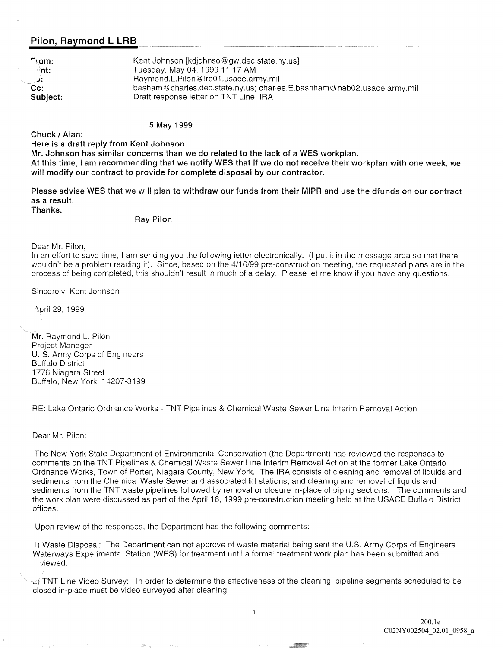## **Pilon, Raymond L LRB**

| $F$ rom: | Kent Johnson [kdjohnso@gw.dec.state.ny.us]                             |
|----------|------------------------------------------------------------------------|
| nt:      | Tuesday, May 04, 1999 11:17 AM                                         |
| :د_      | Raymond.L.Pilon@lrb01.usace.army.mil                                   |
| $Cc$ :   | basham@charles.dec.state.ny.us; charles.E.bashham@nab02.usace.army.mil |
| Subject: | Draft response letter on TNT Line IRA                                  |

## 5 May 1999

Chuck I Alan:

Here is a draft reply from Kent Johnson.

Mr. Johnson has similar concerns than we do related to the lack of aWES workplan.

At this time, I am recommending that we notify WES that if we do not receive their workplan with one week, we will modify our contract to provide for complete disposal by our contractor.

Please advise WES that we will plan to withdraw our funds from their MIPR and use the dfunds on our contract as a result. Thanks.

Ray Pilon

Dear Mr. Pilon,

In an effort to save time, I am sending you the following ietter electronically. (I put it in the message area so that there wouldn't be a problem reading it). Since, based on the *4/16/99* pre-construction meeting, the requested plans are in the process of being completed, this shouldn't result in much of a delay. Please let me know if you have any questions.

Sincerely, Kent Johnson

April 29, 1999

Mr. Raymond L. Pilon Project Manager U. S. Army Corps of Engineers Buffalo District 1776 Niagara Street Buffalo, New York 14207-3199

RE: Lake Ontario Ordnance Works - TNT Pipelines & Chemical Waste Sewer Line Interim Removal Action

Dear Mr. Pilon:

The New York State Department of Environmental Conservation (the Department) has reviewed the responses to comments on the TNT Pipelines & Chemical Waste Sewer Line Interim Removal Action at the former Lake Ontario Ordnance Works, Town of Porter, Niagara County, New York. The IRA consists of cleaning and removal of liquids and sediments from the Chemical Waste Sewer and associated lift stations; and cleaning and removal of liquids and sediments from the TNT waste pipelines followed by removal or closure in-place of piping sections. The comments and the work plan were discussed as part of the April 16, 1999 pre-construction meeting held at the USACE Buffalo District offices.

Upon review of the responses, the Department has the following comments:

1) Waste Disposal: The Department can not approve of waste material being sent the U.S. Army Corps of Engineers Waterways Experimental Station (WES) for treatment until a formal treatment work plan has been submitted and viewed.

 $\leq$ ) TNT Line Video Survey: In order to determine the effectiveness of the cleaning, pipeline segments scheduled to be closed in-place must be video surveyed after cleaning.